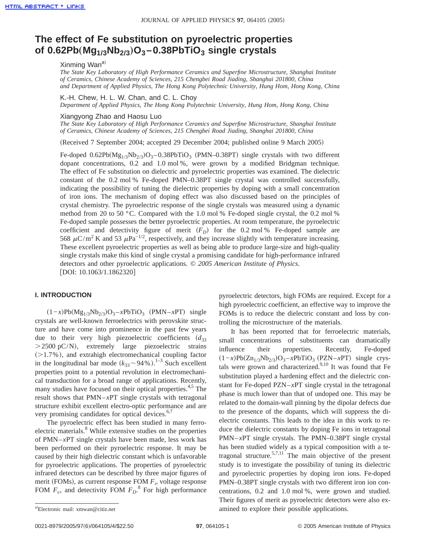# **The effect of Fe substitution on pyroelectric properties of 0.62Pb**"**Mg1/3Nb2/3**…**O3 –0.38PbTiO3 single crystals**

## Xinming Wan<sup>a)</sup>

*The State Key Laboratory of High Performance Ceramics and Superfine Microstructure, Shanghai Institute of Ceramics, Chinese Academy of Sciences, 215 Chengbei Road Jiading, Shanghai 201800, China and Department of Applied Physics, The Hong Kong Polytechnic University, Hung Hom, Hong Kong, China*

K.-H. Chew, H. L. W. Chan, and C. L. Choy *Department of Applied Physics, The Hong Kong Polytechnic University, Hung Hom, Hong Kong, China*

#### Xiangyong Zhao and Haosu Luo

*The State Key Laboratory of High Performance Ceramics and Superfine Microstructure, Shanghai Institute of Ceramics, Chinese Academy of Sciences, 215 Chengbei Road Jiading, Shanghai 201800, China*

(Received 7 September 2004; accepted 29 December 2004; published online 9 March 2005)

Fe-doped  $0.62Pb(Mg_{1/3}Nb_{2/3})O_3 - 0.38PbTiO_3$  (PMN–0.38PT) single crystals with two different dopant concentrations, 0.2 and 1.0 mol %, were grown by a modified Bridgman technique. The effect of Fe substitution on dielectric and pyroelectric properties was examined. The dielectric constant of the 0.2 mol % Fe-doped PMN–0.38PT single crystal was controlled successfully, indicating the possibility of tuning the dielectric properties by doping with a small concentration of iron ions. The mechanism of doping effect was also discussed based on the principles of crystal chemistry. The pyroelectric response of the single crystals was measured using a dynamic method from 20 to 50 °C. Compared with the 1.0 mol % Fe-doped single crystal, the 0.2 mol % Fe-doped sample possesses the better pyroelectric properties. At room temperature, the pyroelectric coefficient and detectivity figure of merit  $(F_D)$  for the 0.2 mol % Fe-doped sample are 568  $\mu$ C/m<sup>2</sup> K and 53  $\mu$ Pa<sup>-1/2</sup>, respectively, and they increase slightly with temperature increasing. These excellent pyroelectric properties as well as being able to produce large-size and high-quality single crystals make this kind of single crystal a promising candidate for high-performance infrared detectors and other pyroelectric applications. © *2005 American Institute of Physics*. [DOI: 10.1063/1.1862320]

# **I. INTRODUCTION**

 $(1-x)Pb(Mg_{1/3}Nb_{2/3})O_3 - xPbTiO_3$  (PMN–*x*PT) single crystals are well-known ferroelectrics with perovskite structure and have come into prominence in the past few years due to their very high piezoelectric coefficients  $(d_{33})$  $>$  2500 pC/N), extremely large piezoelectric strains  $(>1.7\%)$ , and extrahigh electromechanical coupling factor in the longitudinal bar mode  $(k_{33} \sim 94\% )$ .<sup>1–3</sup> Such excellent properties point to a potential revolution in electromechanical transduction for a broad range of applications. Recently, many studies have focused on their optical properties.<sup>4,5</sup> The result shows that PMN–*x*PT single crystals with tetragonal structure exhibit excellent electro-optic performance and are very promising candidates for optical devices.<sup>6,7</sup>

The pyroelectric effect has been studied in many ferroelectric materials.<sup>8</sup> While extensive studies on the properties of PMN–*x*PT single crystals have been made, less work has been performed on their pyroelectric response. It may be caused by their high dielectric constant which is unfavorable for pyroelectric applications. The properties of pyroelectric infrared detectors can be described by three major figures of merit (FOMs), as current response FOM  $F_i$ , voltage response FOM  $F_v$ , and detectivity FOM  $F_D$ .<sup>8</sup> For high performance

pyroelectric detectors, high FOMs are required. Except for a high pyroelectric coefficient, an effective way to improve the FOMs is to reduce the dielectric constant and loss by controlling the microstructure of the materials.

It has been reported that for ferroelectric materials, small concentrations of substituents can dramatically influence their properties. Recently, Fe-doped  $(1-x)Pb(Zn_{1/3}Nb_{2/3})O_3 - xPbTiO_3$  (PZN–*x*PT) single crystals were grown and characterized. $9,10$  It was found that Fe substitution played a hardening effect and the dielectric constant for Fe-doped PZN–*x*PT single crystal in the tetragonal phase is much lower than that of undoped one. This may be related to the domain-wall pinning by the dipolar defects due to the presence of the dopants, which will suppress the dielectric constants. This leads to the idea in this work to reduce the dielectric constants by doping Fe ions in tetragonal PMN–*x*PT single crystals. The PMN–0.38PT single crystal has been studied widely as a typical composition with a tetragonal structure.<sup>5,7,11</sup> The main objective of the present study is to investigate the possibility of tuning its dielectric and pyroelectric properties by doping iron ions. Fe-doped PMN–0.38PT single crystals with two different iron ion concentrations, 0.2 and 1.0 mol %, were grown and studied. Their figures of merit as pyroelectric detectors were also examined to explore their possible applications.

Electronic mail: xmwan@citiz.net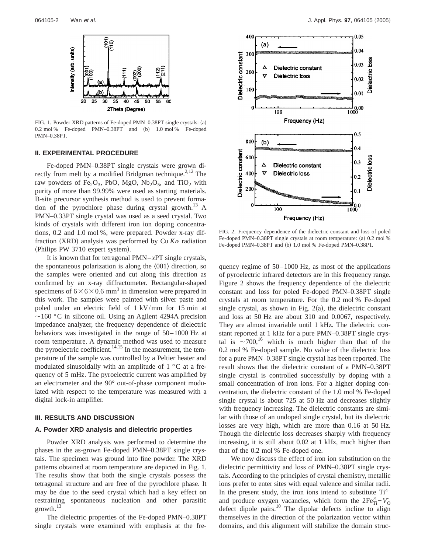

FIG. 1. Powder XRD patterns of Fe-doped PMN-0.38PT single crystals: (a)  $0.2 \text{ mol }$ % Fe-doped PMN–0.38PT and  $(b)$  1.0 mol % Fe-doped PMN–0.38PT.

#### **II. EXPERIMENTAL PROCEDURE**

Fe-doped PMN–0.38PT single crystals were grown directly from melt by a modified Bridgman technique.<sup>2,12</sup> The raw powders of Fe<sub>2</sub>O<sub>3</sub>, PbO, MgO, Nb<sub>2</sub>O<sub>5</sub>, and TiO<sub>2</sub> with purity of more than 99.99% were used as starting materials. B-site precursor synthesis method is used to prevent formation of the pyrochlore phase during crystal growth.<sup>13</sup> A PMN–0.33PT single crystal was used as a seed crystal. Two kinds of crystals with different iron ion doping concentrations, 0.2 and 1.0 mol %, were prepared. Powder x-ray diffraction (XRD) analysis was performed by Cu  $K\alpha$  radiation (Philips PW 3710 expert system).

It is known that for tetragonal PMN–*x*PT single crystals, the spontaneous polarization is along the  $\langle 001 \rangle$  direction, so the samples were oriented and cut along this direction as confirmed by an x-ray diffractometer. Rectangular-shaped specimens of  $6 \times 6 \times 0.6$  mm<sup>3</sup> in dimension were prepared in this work. The samples were painted with silver paste and poled under an electric field of 1 kV/mm for 15 min at  $\sim$ 160 °C in silicone oil. Using an Agilent 4294A precision impedance analyzer, the frequency dependence of dielectric behaviors was investigated in the range of 50–1000 Hz at room temperature. A dynamic method was used to measure the pyroelectric coefficient.<sup>14,15</sup> In the measurement, the temperature of the sample was controlled by a Peltier heater and modulated sinusoidally with an amplitude of  $1 \degree C$  at a frequency of 5 mHz. The pyroelectric current was amplified by an electrometer and the 90° out-of-phase component modulated with respect to the temperature was measured with a digital lock-in amplifier.

#### **III. RESULTS AND DISCUSSION**

## **A. Powder XRD analysis and dielectric properties**

Powder XRD analysis was performed to determine the phases in the as-grown Fe-doped PMN–0.38PT single crystals. The specimen was ground into fine powder. The XRD patterns obtained at room temperature are depicted in Fig. 1. The results show that both the single crystals possess the tetragonal structure and are free of the pyrochlore phase. It may be due to the seed crystal which had a key effect on restraining spontaneous nucleation and other parasitic growth.13

The dielectric properties of the Fe-doped PMN–0.38PT single crystals were examined with emphasis at the fre-



FIG. 2. Frequency dependence of the dielectric constant and loss of poled Fe-doped PMN–0.38PT single crystals at room temperature: (a) 0.2 mol % Fe-doped PMN–0.38PT and (b) 1.0 mol % Fe-doped PMN–0.38PT.

quency regime of 50–1000 Hz, as most of the applications of pyroelectric infrared detectors are in this frequency range. Figure 2 shows the frequency dependence of the dielectric constant and loss for poled Fe-doped PMN–0.38PT single crystals at room temperature. For the 0.2 mol % Fe-doped single crystal, as shown in Fig.  $2(a)$ , the dielectric constant and loss at 50 Hz are about 310 and 0.0067, respectively. They are almost invariable until 1 kHz. The dielectric constant reported at 1 kHz for a pure PMN–0.38PT single crystal is  $\sim$ 700,<sup>16</sup> which is much higher than that of the 0.2 mol % Fe-doped sample. No value of the dielectric loss for a pure PMN–0.38PT single crystal has been reported. The result shows that the dielectric constant of a PMN–0.38PT single crystal is controlled successfully by doping with a small concentration of iron ions. For a higher doping concentration, the dielectric constant of the 1.0 mol % Fe-doped single crystal is about 725 at 50 Hz and decreases slightly with frequency increasing. The dielectric constants are similar with those of an undoped single crystal, but its dielectric losses are very high, which are more than 0.16 at 50 Hz. Though the dielectric loss decreases sharply with frequency increasing, it is still about 0.02 at 1 kHz, much higher than that of the 0.2 mol % Fe-doped one.

We now discuss the effect of iron ion substitution on the dielectric permittivity and loss of PMN–0.38PT single crystals. According to the principles of crystal chemistry, metallic ions prefer to enter sites with equal valence and similar radii. In the present study, the iron ions intend to substitute  $Ti^{4+}$ and produce oxygen vacancies, which form the  $2Fe_{Ti}^{\times} - V_{O}^{\times}$ defect dipole pairs.<sup>10</sup> The dipolar defects incline to align themselves in the direction of the polarization vector within domains, and this alignment will stabilize the domain struc-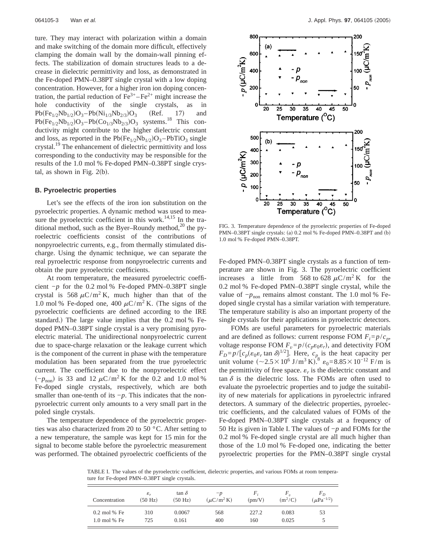ture. They may interact with polarization within a domain and make switching of the domain more difficult, effectively clamping the domain wall by the domain-wall pinning effects. The stabilization of domain structures leads to a decrease in dielectric permittivity and loss, as demonstrated in the Fe-doped PMN–0.38PT single crystal with a low doping concentration. However, for a higher iron ion doping concentration, the partial reduction of  $Fe^{3+} - Fe^{2+}$  might increase the hole conductivity of the single crystals, as in  $Pb(Fe_{1/2}Nb_{1/2})O_3-Pb(Ni_{1/3}Nb_{2/3})O_3$  (Ref. 17) and  $Pb(Fe_{1/2}Nb_{1/2})O_3-Pb(Co_{1/3}Nb_{2/3})O_3$  systems.<sup>18</sup> This conductivity might contribute to the higher dielectric constant and loss, as reported in the  $Pb(Fe_{1/2}Nb_{1/2})O_3-PbTiO_3$  single crystal.<sup>19</sup> The enhancement of dielectric permittivity and loss corresponding to the conductivity may be responsible for the results of the 1.0 mol % Fe-doped PMN–0.38PT single crystal, as shown in Fig.  $2(b)$ .

#### **B. Pyroelectric properties**

Let's see the effects of the iron ion substitution on the pyroelectric properties. A dynamic method was used to measure the pyroelectric coefficient in this work. $14,15$  In the traditional method, such as the Byer–Roundy method,<sup>20</sup> the pyroelectric coefficients consist of the contributions of nonpyroelectric currents, e.g., from thermally stimulated discharge. Using the dynamic technique, we can separate the real pyroelectric response from nonpyroelectric currents and obtain the pure pyroelectric coefficients.

At room temperature, the measured pyroelectric coefficient −*p* for the 0.2 mol % Fe-doped PMN–0.38PT single crystal is 568  $\mu$ C/m<sup>2</sup> K, much higher than that of the 1.0 mol % Fe-doped one, 400  $\mu$ C/m<sup>2</sup> K. (The signs of the pyroelectric coefficients are defined according to the IRE standard.) The large value implies that the  $0.2$  mol % Fedoped PMN–0.38PT single crystal is a very promising pyroelectric material. The unidirectional nonpyroelectric current due to space-charge relaxation or the leakage current which is the component of the current in phase with the temperature modulation has been separated from the true pyroelectric current. The coefficient due to the nonpyroelectric effect  $(-p_{\text{non}})$  is 33 and 12  $\mu$ C/m<sup>2</sup> K for the 0.2 and 1.0 mol % Fe-doped single crystals, respectively, which are both smaller than one-tenth of its *−p*. This indicates that the nonpyroelectric current only amounts to a very small part in the poled single crystals.

The temperature dependence of the pyroelectric properties was also characterized from 20 to 50 °C. After setting to a new temperature, the sample was kept for 15 min for the signal to become stable before the pyroelectric measurement was performed. The obtained pyroelectric coefficients of the



FIG. 3. Temperature dependence of the pyroelectric properties of Fe-doped PMN–0.38PT single crystals: (a) 0.2 mol % Fe-doped PMN–0.38PT and (b) 1.0 mol % Fe-doped PMN–0.38PT.

Fe-doped PMN–0.38PT single crystals as a function of temperature are shown in Fig. 3. The pyroelectric coefficient increases a little from 568 to 628  $\mu$ C/m<sup>2</sup> K for the 0.2 mol % Fe-doped PMN–0.38PT single crystal, while the value of  $-p_{\text{non}}$  remains almost constant. The 1.0 mol % Fedoped single crystal has a similar variation with temperature. The temperature stability is also an important property of the single crystals for their applications in pyroelectric detectors.

FOMs are useful parameters for pyroelectric materials and are defined as follows: current response FOM  $F_i = p/c_p$ , voltage response FOM  $F_v = p/(c_p \varepsilon_0 \varepsilon_r)$ , and detectivity FOM  $F_D = p/[c_p(\varepsilon_0 \varepsilon_r \tan \delta)^{1/2}]$ . Here,  $c_p$  is the heat capacity per unit volume  $(\sim 2.5 \times 10^6 \text{ J/m}^3 \text{ K})^{8}$   $\varepsilon_0 = 8.85 \times 10^{-12} \text{ F/m}$  is the permittivity of free space.  $\varepsilon_r$  is the dielectric constant and tan  $\delta$  is the dielectric loss. The FOMs are often used to evaluate the pyroelectric properties and to judge the suitability of new materials for applications in pyroelectric infrared detectors. A summary of the dielectric properties, pyroelectric coefficients, and the calculated values of FOMs of the Fe-doped PMN–0.38PT single crystals at a frequency of 50 Hz is given in Table I. The values of −*p* and FOMs for the 0.2 mol % Fe-doped single crystal are all much higher than those of the 1.0 mol % Fe-doped one, indicating the better pyroelectric properties for the PMN–0.38PT single crystal

TABLE I. The values of the pyroelectric coefficient, dielectric properties, and various FOMs at room temperature for Fe-doped PMN–0.38PT single crystals.

| Concentration            | $\varepsilon$ .<br>(50 Hz) | $tan \delta$<br>$(50 \text{ Hz})$ | $-D$<br>$(\mu C/m^2 K)$ | (pm/V) | $(m^2/C)$ | $r_D$<br>$(\mu \text{Pa}^{-1/2})$ |
|--------------------------|----------------------------|-----------------------------------|-------------------------|--------|-----------|-----------------------------------|
| $0.2$ mol % Fe           | 310                        | 0.0067                            | 568                     | 227.2  | 0.083     | 53                                |
| $1.0 \text{ mol } \%$ Fe | 725                        | 0.161                             | 400                     | 160    | 0.025     |                                   |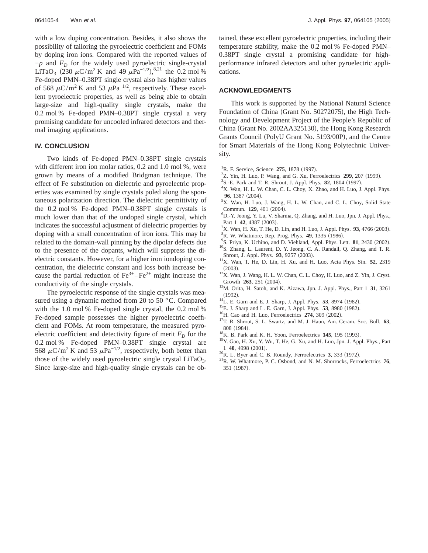with a low doping concentration. Besides, it also shows the possibility of tailoring the pyroelectric coefficient and FOMs by doping iron ions. Compared with the reported values of  $-p$  and  $F<sub>D</sub>$  for the widely used pyroelectric single-crystal LiTaO<sub>3</sub> (230  $\mu$ C/m<sup>2</sup> K and 49  $\mu$ Pa<sup>-1/2</sup>),<sup>8,21</sup> the 0.2 mol % Fe-doped PMN–0.38PT single crystal also has higher values of 568  $\mu$ C/m<sup>2</sup> K and 53  $\mu$ Pa<sup>-1/2</sup>, respectively. These excellent pyroelectric properties, as well as being able to obtain large-size and high-quality single crystals, make the 0.2 mol % Fe-doped PMN–0.38PT single crystal a very promising candidate for uncooled infrared detectors and thermal imaging applications.

# **IV. CONCLUSION**

Two kinds of Fe-doped PMN–0.38PT single crystals with different iron ion molar ratios, 0.2 and 1.0 mol %, were grown by means of a modified Bridgman technique. The effect of Fe substitution on dielectric and pyroelectric properties was examined by single crystals poled along the spontaneous polarization direction. The dielectric permittivity of the 0.2 mol % Fe-doped PMN–0.38PT single crystals is much lower than that of the undoped single crystal, which indicates the successful adjustment of dielectric properties by doping with a small concentration of iron ions. This may be related to the domain-wall pinning by the dipolar defects due to the presence of the dopants, which will suppress the dielectric constants. However, for a higher iron iondoping concentration, the dielectric constant and loss both increase because the partial reduction of  $Fe^{3+} - Fe^{2+}$  might increase the conductivity of the single crystals.

The pyroelectric response of the single crystals was measured using a dynamic method from 20 to 50 °C. Compared with the 1.0 mol % Fe-doped single crystal, the 0.2 mol % Fe-doped sample possesses the higher pyroelectric coefficient and FOMs. At room temperature, the measured pyroelectric coefficient and detectivity figure of merit  $F<sub>D</sub>$  for the 0.2 mol % Fe-doped PMN–0.38PT single crystal are 568  $\mu$ C/m<sup>2</sup> K and 53  $\mu$ Pa<sup>-1/2</sup>, respectively, both better than those of the widely used pyroelectric single crystal  $LiTaO<sub>3</sub>$ . Since large-size and high-quality single crystals can be obtained, these excellent pyroelectric properties, including their temperature stability, make the 0.2 mol % Fe-doped PMN– 0.38PT single crystal a promising candidate for highperformance infrared detectors and other pyroelectric applications.

### **ACKNOWLEDGMENTS**

This work is supported by the National Natural Science Foundation of China (Grant No. 50272075), the High Technology and Development Project of the People's Republic of China (Grant No. 2002AA325130), the Hong Kong Research Grants Council (PolyU Grant No. 5193/00P), and the Centre for Smart Materials of the Hong Kong Polytechnic University.

- <sup>1</sup>R. F. Service, Science 275, 1878 (1997).
- $2$ Z. Yin, H. Luo, P. Wang, and G. Xu, Ferroelectrics **299**, 207 (1999).
- <sup>3</sup>S.-E. Park and T. R. Shrout, J. Appl. Phys. **82**, 1804 (1997).
- <sup>4</sup>X. Wan, H. L. W. Chan, C. L. Choy, X. Zhao, and H. Luo, J. Appl. Phys. **96**, 1387 (2004).
- <sup>5</sup>X. Wan, H. Luo, J. Wang, H. L. W. Chan, and C. L. Choy, Solid State Commun. **129**, 401 (2004).
- D.-Y. Jeong, Y. Lu, V. Sharma, Q. Zhang, and H. Luo, Jpn. J. Appl. Phys., Part 1 **42**, 4387 (2003).
- ${}^{7}X$ . Wan, H. Xu, T. He, D. Lin, and H. Luo, J. Appl. Phys. **93**, 4766 (2003).
- <sup>8</sup>R. W. Whatmore, Rep. Prog. Phys. **49**, 1335 (1986). <sup>9</sup>S. Priya, K. Uchino, and D. Viehland, Appl. Phys. Lett. **81**, 2430 (2002). <sup>10</sup>S. Zhang, L. Laurent, D. Y. Jeong, C. A. Randall, Q. Zhang, and T. R.
- Shrout, J. Appl. Phys. **93**, 9257 (2003). <sup>11</sup>X. Wan, T. He, D. Lin, H. Xu, and H. Luo, Acta Phys. Sin. **52**, 2319
- 
- (2003).  $12X$ . Wan, J. Wang, H. L. W. Chan, C. L. Choy, H. Luo, and Z. Yin, J. Cryst.
- Growth **263**, 251 (2004). <sup>13</sup>M. Orita, H. Satoh, and K. Aizawa, Jpn. J. Appl. Phys., Part 1 **31**, 3261 (1992).<br><sup>14</sup>L. E. Garn and E. J. Sharp, J. Appl. Phys. **53**, 8974 (1982).<br><sup>15</sup>E. J. Sharp and L. E. Garn, J. Appl. Phys. **53**, 8980 (1982).<br><sup>16</sup>H. Cao and H. Luo, Ferroelectrics **274**, 309 (2002).<br><sup>17</sup>T. R. Shrout, S. L.
- 
- 
- 
- 
- 
- 808 (1984).<br><sup>18</sup>K. B. Park and K. H. Yoon, Ferroelectrics **145**, 195 (1993).<br><sup>19</sup>Y. Gao, H. Xu, Y. Wu, T. He, G. Xu, and H. Luo, Jpn. J. Appl. Phys., Part
- 
- <sup>20</sup>R. L. Byer and C. B. Roundy, Ferroelectrics **3**, 333 (1972). <sup>21</sup>R. W. Whatmore, P. C. Osbond, and N. M. Shorrocks, Ferroelectrics **76**, 351 (1987).